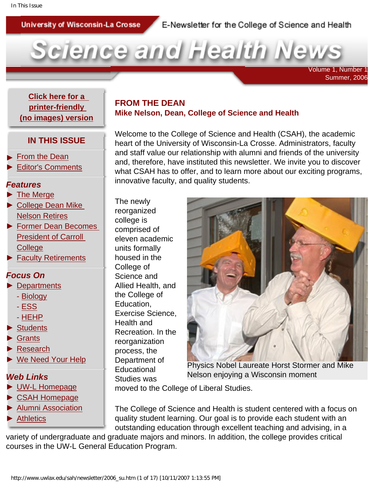University of Wisconsin-La Crosse

### E-Newsletter for the College of Science and Health



 Volume 1, Number 1 Summer, 2006

<span id="page-0-0"></span>**[Click here for a](http://www.uwlax.edu/sah/newsletter/2006_su_text.htm)  [printer-friendly](http://www.uwlax.edu/sah/newsletter/2006_su_text.htm)  [\(no images\) version](http://www.uwlax.edu/sah/newsletter/2006_su_text.htm)**

### **IN THIS ISSUE**

- **[From the Dean](#page-0-0)**
- ► [Editor's Comments](#page-1-0)

#### *Features*

- ► [The Merge](#page-2-0)
- ► [College Dean Mike](#page-3-0)  [Nelson Retires](#page-3-0)
- ► [Former Dean Becomes](#page-4-0)  [President of Carroll](#page-4-0) **[College](#page-4-0)**
- ► [Faculty Retirements](#page-5-0)

### *Focus On*

- ► [Departments](#page-6-0)
	- - [Biology](#page-6-1)
	- - [ESS](#page-7-0)
	- - [HEHP](#page-8-0)
- ► [Students](#page-9-0)
- ► [Grants](#page-11-0)
- ► [Research](#page-15-0)
- ► [We Need Your Help](#page-16-0)

### *Web Links*

- ► [UW-L Homepage](http://www.uwlax.edu/)
- ► [CSAH Homepage](http://www.uwlax.edu/sah/)
- ► [Alumni Association](http://www.uwlalumni.org/)
- ► [Athletics](http://www.uwlax.edu/Athletics/)

### **FROM THE DEAN Mike Nelson, Dean, College of Science and Health**

Welcome to the College of Science and Health (CSAH), the academic heart of the University of Wisconsin-La Crosse. Administrators, faculty and staff value our relationship with alumni and friends of the university and, therefore, have instituted this newsletter. We invite you to discover what CSAH has to offer, and to learn more about our exciting programs, innovative faculty, and quality students.

The newly reorganized college is comprised of eleven academic units formally housed in the College of Science and Allied Health, and the College of Education, Exercise Science, Health and Recreation. In the reorganization process, the Department of **Educational** Studies was



Physics Nobel Laureate Horst Stormer and Mike Nelson enjoying a Wisconsin moment

moved to the College of Liberal Studies.

The College of Science and Health is student centered with a focus on quality student learning. Our goal is to provide each student with an outstanding education through excellent teaching and advising, in a

variety of undergraduate and graduate majors and minors. In addition, the college provides critical courses in the UW-L General Education Program.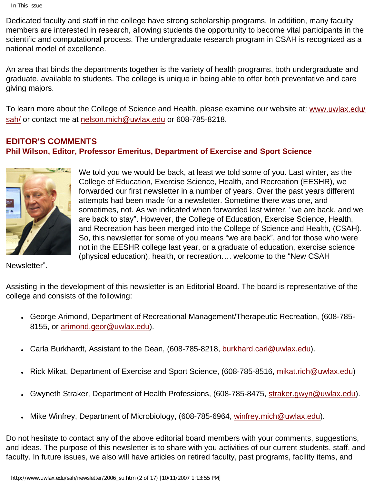Dedicated faculty and staff in the college have strong scholarship programs. In addition, many faculty members are interested in research, allowing students the opportunity to become vital participants in the scientific and computational process. The undergraduate research program in CSAH is recognized as a national model of excellence.

An area that binds the departments together is the variety of health programs, both undergraduate and graduate, available to students. The college is unique in being able to offer both preventative and care giving majors.

To learn more about the College of Science and Health, please examine our website at: [www.uwlax.edu/](http://www.uwlax.edu/sah/) [sah/](http://www.uwlax.edu/sah/) or contact me at [nelson.mich@uwlax.edu](mailto:nelson.mich@uwlax.edu) or 608-785-8218.

## <span id="page-1-0"></span>**EDITOR'S COMMENTS Phil Wilson, Editor, Professor Emeritus, Department of Exercise and Sport Science**



We told you we would be back, at least we told some of you. Last winter, as the College of Education, Exercise Science, Health, and Recreation (EESHR), we forwarded our first newsletter in a number of years. Over the past years different attempts had been made for a newsletter. Sometime there was one, and sometimes, not. As we indicated when forwarded last winter, "we are back, and we are back to stay". However, the College of Education, Exercise Science, Health, and Recreation has been merged into the College of Science and Health, (CSAH). So, this newsletter for some of you means "we are back", and for those who were not in the EESHR college last year, or a graduate of education, exercise science (physical education), health, or recreation…. welcome to the "New CSAH

Newsletter".

Assisting in the development of this newsletter is an Editorial Board. The board is representative of the college and consists of the following:

- George Arimond, Department of Recreational Management/Therapeutic Recreation, (608-785-8155, or [arimond.geor@uwlax.edu\)](mailto:arimond.geor@uwlax.edu).
- Carla Burkhardt, Assistant to the Dean, (608-785-8218, [burkhard.carl@uwlax.edu\)](mailto:burkhard.carl@uwlax.edu).
- Rick Mikat, Department of Exercise and Sport Science, (608-785-8516, [mikat.rich@uwlax.edu\)](mailto:mikat.rich@uwlax.edu)
- Gwyneth Straker, Department of Health Professions, (608-785-8475, [straker.gwyn@uwlax.edu](mailto:straker.gwyn@uwlax.edu)).
- Mike Winfrey, Department of Microbiology, (608-785-6964, [winfrey.mich@uwlax.edu](mailto:winfrey.mich@uwlax.edu)).

Do not hesitate to contact any of the above editorial board members with your comments, suggestions, and ideas. The purpose of this newsletter is to share with you activities of our current students, staff, and faculty. In future issues, we also will have articles on retired faculty, past programs, facility items, and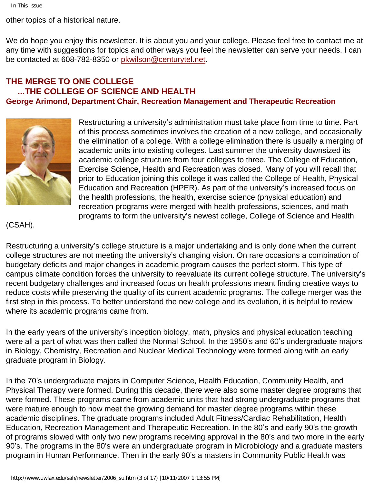other topics of a historical nature.

We do hope you enjoy this newsletter. It is about you and your college. Please feel free to contact me at any time with suggestions for topics and other ways you feel the newsletter can serve your needs. I can be contacted at 608-782-8350 or [pkwilson@centurytel.net](mailto:pkwilson@centurytel.net).

### <span id="page-2-0"></span>**THE MERGE TO ONE COLLEGE ...THE COLLEGE OF SCIENCE AND HEALTH George Arimond, Department Chair, Recreation Management and Therapeutic Recreation**



Restructuring a university's administration must take place from time to time. Part of this process sometimes involves the creation of a new college, and occasionally the elimination of a college. With a college elimination there is usually a merging of academic units into existing colleges. Last summer the university downsized its academic college structure from four colleges to three. The College of Education, Exercise Science, Health and Recreation was closed. Many of you will recall that prior to Education joining this college it was called the College of Health, Physical Education and Recreation (HPER). As part of the university's increased focus on the health professions, the health, exercise science (physical education) and recreation programs were merged with health professions, sciences, and math programs to form the university's newest college, College of Science and Health

### (CSAH).

Restructuring a university's college structure is a major undertaking and is only done when the current college structures are not meeting the university's changing vision. On rare occasions a combination of budgetary deficits and major changes in academic program causes the perfect storm. This type of campus climate condition forces the university to reevaluate its current college structure. The university's recent budgetary challenges and increased focus on health professions meant finding creative ways to reduce costs while preserving the quality of its current academic programs. The college merger was the first step in this process. To better understand the new college and its evolution, it is helpful to review where its academic programs came from.

In the early years of the university's inception biology, math, physics and physical education teaching were all a part of what was then called the Normal School. In the 1950's and 60's undergraduate majors in Biology, Chemistry, Recreation and Nuclear Medical Technology were formed along with an early graduate program in Biology.

In the 70's undergraduate majors in Computer Science, Health Education, Community Health, and Physical Therapy were formed. During this decade, there were also some master degree programs that were formed. These programs came from academic units that had strong undergraduate programs that were mature enough to now meet the growing demand for master degree programs within these academic disciplines. The graduate programs included Adult Fitness/Cardiac Rehabilitation, Health Education, Recreation Management and Therapeutic Recreation. In the 80's and early 90's the growth of programs slowed with only two new programs receiving approval in the 80's and two more in the early 90's. The programs in the 80's were an undergraduate program in Microbiology and a graduate masters program in Human Performance. Then in the early 90's a masters in Community Public Health was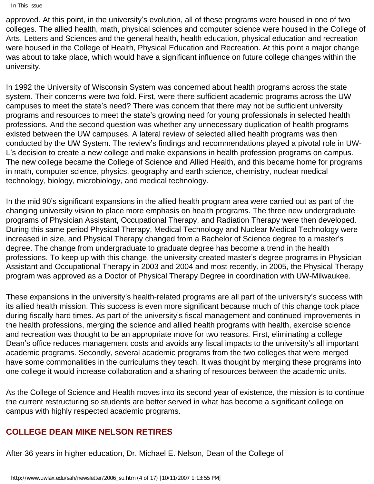In This Issue

approved. At this point, in the university's evolution, all of these programs were housed in one of two colleges. The allied health, math, physical sciences and computer science were housed in the College of Arts, Letters and Sciences and the general health, health education, physical education and recreation were housed in the College of Health, Physical Education and Recreation. At this point a major change was about to take place, which would have a significant influence on future college changes within the university.

In 1992 the University of Wisconsin System was concerned about health programs across the state system. Their concerns were two fold. First, were there sufficient academic programs across the UW campuses to meet the state's need? There was concern that there may not be sufficient university programs and resources to meet the state's growing need for young professionals in selected health professions. And the second question was whether any unnecessary duplication of health programs existed between the UW campuses. A lateral review of selected allied health programs was then conducted by the UW System. The review's findings and recommendations played a pivotal role in UW-L's decision to create a new college and make expansions in health profession programs on campus. The new college became the College of Science and Allied Health, and this became home for programs in math, computer science, physics, geography and earth science, chemistry, nuclear medical technology, biology, microbiology, and medical technology.

In the mid 90's significant expansions in the allied health program area were carried out as part of the changing university vision to place more emphasis on health programs. The three new undergraduate programs of Physician Assistant, Occupational Therapy, and Radiation Therapy were then developed. During this same period Physical Therapy, Medical Technology and Nuclear Medical Technology were increased in size, and Physical Therapy changed from a Bachelor of Science degree to a master's degree. The change from undergraduate to graduate degree has become a trend in the health professions. To keep up with this change, the university created master's degree programs in Physician Assistant and Occupational Therapy in 2003 and 2004 and most recently, in 2005, the Physical Therapy program was approved as a Doctor of Physical Therapy Degree in coordination with UW-Milwaukee.

These expansions in the university's health-related programs are all part of the university's success with its allied health mission. This success is even more significant because much of this change took place during fiscally hard times. As part of the university's fiscal management and continued improvements in the health professions, merging the science and allied health programs with health, exercise science and recreation was thought to be an appropriate move for two reasons. First, eliminating a college Dean's office reduces management costs and avoids any fiscal impacts to the university's all important academic programs. Secondly, several academic programs from the two colleges that were merged have some commonalities in the curriculums they teach. It was thought by merging these programs into one college it would increase collaboration and a sharing of resources between the academic units.

As the College of Science and Health moves into its second year of existence, the mission is to continue the current restructuring so students are better served in what has become a significant college on campus with highly respected academic programs.

### <span id="page-3-0"></span>**COLLEGE DEAN MIKE NELSON RETIRES**

After 36 years in higher education, Dr. Michael E. Nelson, Dean of the College of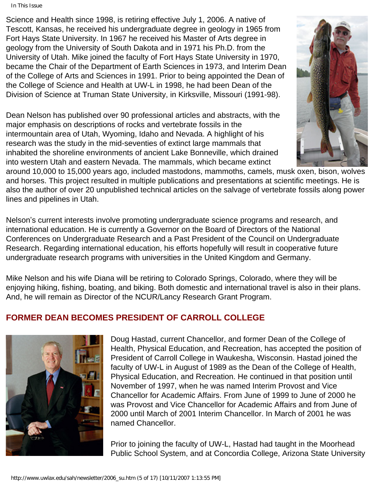In This Issue

Science and Health since 1998, is retiring effective July 1, 2006. A native of Tescott, Kansas, he received his undergraduate degree in geology in 1965 from Fort Hays State University. In 1967 he received his Master of Arts degree in geology from the University of South Dakota and in 1971 his Ph.D. from the University of Utah. Mike joined the faculty of Fort Hays State University in 1970, became the Chair of the Department of Earth Sciences in 1973, and Interim Dean of the College of Arts and Sciences in 1991. Prior to being appointed the Dean of the College of Science and Health at UW-L in 1998, he had been Dean of the Division of Science at Truman State University, in Kirksville, Missouri (1991-98).

Dean Nelson has published over 90 professional articles and abstracts, with the major emphasis on descriptions of rocks and vertebrate fossils in the intermountain area of Utah, Wyoming, Idaho and Nevada. A highlight of his research was the study in the mid-seventies of extinct large mammals that inhabited the shoreline environments of ancient Lake Bonneville, which drained into western Utah and eastern Nevada. The mammals, which became extinct



around 10,000 to 15,000 years ago, included mastodons, mammoths, camels, musk oxen, bison, wolves and horses. This project resulted in multiple publications and presentations at scientific meetings. He is also the author of over 20 unpublished technical articles on the salvage of vertebrate fossils along power lines and pipelines in Utah.

Nelson's current interests involve promoting undergraduate science programs and research, and international education. He is currently a Governor on the Board of Directors of the National Conferences on Undergraduate Research and a Past President of the Council on Undergraduate Research. Regarding international education, his efforts hopefully will result in cooperative future undergraduate research programs with universities in the United Kingdom and Germany.

Mike Nelson and his wife Diana will be retiring to Colorado Springs, Colorado, where they will be enjoying hiking, fishing, boating, and biking. Both domestic and international travel is also in their plans. And, he will remain as Director of the NCUR/Lancy Research Grant Program.

### <span id="page-4-0"></span>**FORMER DEAN BECOMES PRESIDENT OF CARROLL COLLEGE**



Doug Hastad, current Chancellor, and former Dean of the College of Health, Physical Education, and Recreation, has accepted the position of President of Carroll College in Waukesha, Wisconsin. Hastad joined the faculty of UW-L in August of 1989 as the Dean of the College of Health, Physical Education, and Recreation. He continued in that position until November of 1997, when he was named Interim Provost and Vice Chancellor for Academic Affairs. From June of 1999 to June of 2000 he was Provost and Vice Chancellor for Academic Affairs and from June of 2000 until March of 2001 Interim Chancellor. In March of 2001 he was named Chancellor.

Prior to joining the faculty of UW-L, Hastad had taught in the Moorhead Public School System, and at Concordia College, Arizona State University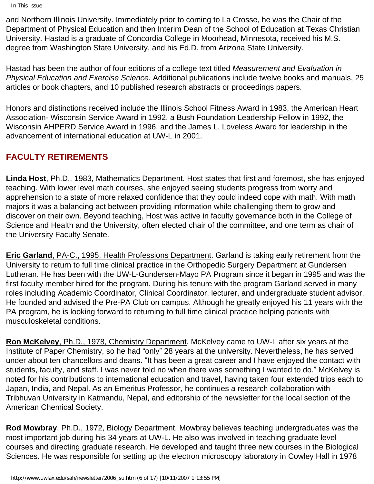In This Issue

and Northern Illinois University. Immediately prior to coming to La Crosse, he was the Chair of the Department of Physical Education and then Interim Dean of the School of Education at Texas Christian University. Hastad is a graduate of Concordia College in Moorhead, Minnesota, received his M.S. degree from Washington State University, and his Ed.D. from Arizona State University.

Hastad has been the author of four editions of a college text titled *Measurement and Evaluation in Physical Education and Exercise Science*. Additional publications include twelve books and manuals, 25 articles or book chapters, and 10 published research abstracts or proceedings papers.

Honors and distinctions received include the Illinois School Fitness Award in 1983, the American Heart Association- Wisconsin Service Award in 1992, a Bush Foundation Leadership Fellow in 1992, the Wisconsin AHPERD Service Award in 1996, and the James L. Loveless Award for leadership in the advancement of international education at UW-L in 2001.

# <span id="page-5-0"></span>**FACULTY RETIREMENTS**

**Linda Host**, Ph.D., 1983, Mathematics Department. Host states that first and foremost, she has enjoyed teaching. With lower level math courses, she enjoyed seeing students progress from worry and apprehension to a state of more relaxed confidence that they could indeed cope with math. With math majors it was a balancing act between providing information while challenging them to grow and discover on their own. Beyond teaching, Host was active in faculty governance both in the College of Science and Health and the University, often elected chair of the committee, and one term as chair of the University Faculty Senate.

**Eric Garland**, PA-C., 1995, Health Professions Department. Garland is taking early retirement from the University to return to full time clinical practice in the Orthopedic Surgery Department at Gundersen Lutheran. He has been with the UW-L-Gundersen-Mayo PA Program since it began in 1995 and was the first faculty member hired for the program. During his tenure with the program Garland served in many roles including Academic Coordinator, Clinical Coordinator, lecturer, and undergraduate student advisor. He founded and advised the Pre-PA Club on campus. Although he greatly enjoyed his 11 years with the PA program, he is looking forward to returning to full time clinical practice helping patients with musculoskeletal conditions.

**Ron McKelvey**, Ph.D., 1978, Chemistry Department. McKelvey came to UW-L after six years at the Institute of Paper Chemistry, so he had "only" 28 years at the university. Nevertheless, he has served under about ten chancellors and deans. "It has been a great career and I have enjoyed the contact with students, faculty, and staff. I was never told no when there was something I wanted to do." McKelvey is noted for his contributions to international education and travel, having taken four extended trips each to Japan, India, and Nepal. As an Emeritus Professor, he continues a research collaboration with Tribhuvan University in Katmandu, Nepal, and editorship of the newsletter for the local section of the American Chemical Society.

**Rod Mowbray**, Ph.D., 1972, Biology Department. Mowbray believes teaching undergraduates was the most important job during his 34 years at UW-L. He also was involved in teaching graduate level courses and directing graduate research. He developed and taught three new courses in the Biological Sciences. He was responsible for setting up the electron microscopy laboratory in Cowley Hall in 1978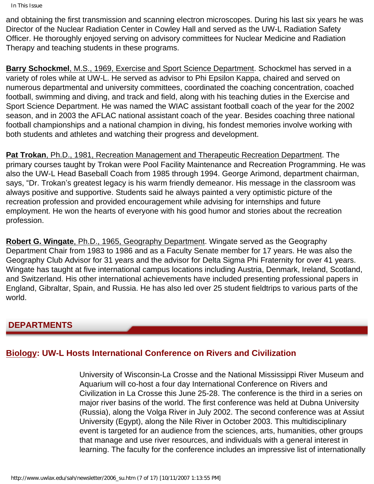```
In This Issue
```
and obtaining the first transmission and scanning electron microscopes. During his last six years he was Director of the Nuclear Radiation Center in Cowley Hall and served as the UW-L Radiation Safety Officer. He thoroughly enjoyed serving on advisory committees for Nuclear Medicine and Radiation Therapy and teaching students in these programs.

**Barry Schockmel**, M.S., 1969, Exercise and Sport Science Department. Schockmel has served in a variety of roles while at UW-L. He served as advisor to Phi Epsilon Kappa, chaired and served on numerous departmental and university committees, coordinated the coaching concentration, coached football, swimming and diving, and track and field, along with his teaching duties in the Exercise and Sport Science Department. He was named the WIAC assistant football coach of the year for the 2002 season, and in 2003 the AFLAC national assistant coach of the year. Besides coaching three national football championships and a national champion in diving, his fondest memories involve working with both students and athletes and watching their progress and development.

**Pat Trokan**, Ph.D., 1981, Recreation Management and Therapeutic Recreation Department. The primary courses taught by Trokan were Pool Facility Maintenance and Recreation Programming. He was also the UW-L Head Baseball Coach from 1985 through 1994. George Arimond, department chairman, says, "Dr. Trokan's greatest legacy is his warm friendly demeanor. His message in the classroom was always positive and supportive. Students said he always painted a very optimistic picture of the recreation profession and provided encouragement while advising for internships and future employment. He won the hearts of everyone with his good humor and stories about the recreation profession.

**Robert G. Wingate**, Ph.D., 1965, Geography Department. Wingate served as the Geography Department Chair from 1983 to 1986 and as a Faculty Senate member for 17 years. He was also the Geography Club Advisor for 31 years and the advisor for Delta Sigma Phi Fraternity for over 41 years. Wingate has taught at five international campus locations including Austria, Denmark, Ireland, Scotland, and Switzerland. His other international achievements have included presenting professional papers in England, Gibraltar, Spain, and Russia. He has also led over 25 student fieldtrips to various parts of the world.

# <span id="page-6-0"></span> **DEPARTMENTS**

# <span id="page-6-1"></span>**Biology: UW-L Hosts International Conference on Rivers and Civilization**

University of Wisconsin-La Crosse and the National Mississippi River Museum and Aquarium will co-host a four day International Conference on Rivers and Civilization in La Crosse this June 25-28. The conference is the third in a series on major river basins of the world. The first conference was held at Dubna University (Russia), along the Volga River in July 2002. The second conference was at Assiut University (Egypt), along the Nile River in October 2003. This multidisciplinary event is targeted for an audience from the sciences, arts, humanities, other groups that manage and use river resources, and individuals with a general interest in learning. The faculty for the conference includes an impressive list of internationally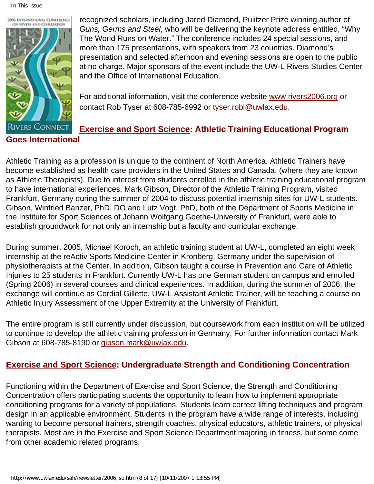In This Issue



recognized scholars, including Jared Diamond, Pulitzer Prize winning author of *Guns, Germs and Steel*, who will be delivering the keynote address entitled, "Why The World Runs on Water." The conference includes 24 special sessions, and more than 175 presentations, with speakers from 23 countries. Diamond's presentation and selected afternoon and evening sessions are open to the public at no charge. Major sponsors of the event include the UW-L Rivers Studies Center and the Office of International Education.

For additional information, visit the conference website [www.rivers2006.org](http://www.rivers2006.org/) or contact Rob Tyser at 608-785-6992 or [tyser.robi@uwlax.edu](mailto:tyser.robi@uwlax.edu).

# **Exercise and Sport Science: Athletic Training Educational Program**

<span id="page-7-0"></span>Athletic Training as a profession is unique to the continent of North America. Athletic Trainers have become established as health care providers in the United States and Canada, (where they are known as Athletic Therapists). Due to interest from students enrolled in the athletic training educational program to have international experiences, Mark Gibson, Director of the Athletic Training Program, visited Frankfurt, Germany during the summer of 2004 to discuss potential internship sites for UW-L students. Gibson, Winfried Banzer, PhD, DO and Lutz Vogt, PhD, both of the Department of Sports Medicine in the Institute for Sport Sciences of Johann Wolfgang Goethe-University of Frankfurt, were able to establish groundwork for not only an internship but a faculty and curricular exchange.

During summer, 2005, Michael Koroch, an athletic training student at UW-L, completed an eight week internship at the reActiv Sports Medicine Center in Kronberg, Germany under the supervision of physiotherapists at the Center. In addition, Gibson taught a course in Prevention and Care of Athletic Injuries to 25 students in Frankfurt. Currently UW-L has one German student on campus and enrolled (Spring 2006) in several courses and clinical experiences. In addition, during the summer of 2006, the exchange will continue as Cordial Gillette, UW-L Assistant Athletic Trainer, will be teaching a course on Athletic Injury Assessment of the Upper Extremity at the University of Frankfurt.

The entire program is still currently under discussion, but coursework from each institution will be utilized to continue to develop the athletic training profession in Germany. For further information contact Mark Gibson at 608-785-8190 or [gibson.mark@uwlax.edu](mailto:gibson.mark@uwlax.edu).

# **Exercise and Sport Science: Undergraduate Strength and Conditioning Concentration**

Functioning within the Department of Exercise and Sport Science, the Strength and Conditioning Concentration offers participating students the opportunity to learn how to implement appropriate conditioning programs for a variety of populations. Students learn correct lifting techniques and program design in an applicable environment. Students in the program have a wide range of interests, including wanting to become personal trainers, strength coaches, physical educators, athletic trainers, or physical therapists. Most are in the Exercise and Sport Science Department majoring in fitness, but some come from other academic related programs.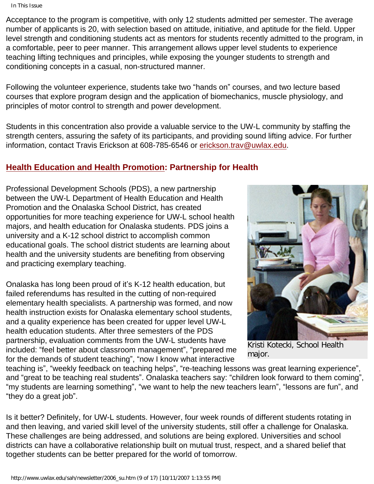Acceptance to the program is competitive, with only 12 students admitted per semester. The average number of applicants is 20, with selection based on attitude, initiative, and aptitude for the field. Upper level strength and conditioning students act as mentors for students recently admitted to the program, in a comfortable, peer to peer manner. This arrangement allows upper level students to experience teaching lifting techniques and principles, while exposing the younger students to strength and conditioning concepts in a casual, non-structured manner.

Following the volunteer experience, students take two "hands on" courses, and two lecture based courses that explore program design and the application of biomechanics, muscle physiology, and principles of motor control to strength and power development.

Students in this concentration also provide a valuable service to the UW-L community by staffing the strength centers, assuring the safety of its participants, and providing sound lifting advice. For further information, contact Travis Erickson at 608-785-6546 or [erickson.trav@uwlax.edu](mailto:erickson.trav@uwlax.edu).

### <span id="page-8-0"></span>**Health Education and Health Promotion: Partnership for Health**

Professional Development Schools (PDS), a new partnership between the UW-L Department of Health Education and Health Promotion and the Onalaska School District, has created opportunities for more teaching experience for UW-L school health majors, and health education for Onalaska students. PDS joins a university and a K-12 school district to accomplish common educational goals. The school district students are learning about health and the university students are benefiting from observing and practicing exemplary teaching.

Onalaska has long been proud of it's K-12 health education, but failed referendums has resulted in the cutting of non-required elementary health specialists. A partnership was formed, and now health instruction exists for Onalaska elementary school students, and a quality experience has been created for upper level UW-L health education students. After three semesters of the PDS partnership, evaluation comments from the UW-L students have included: "feel better about classroom management", "prepared me for the demands of student teaching", "now I know what interactive



Kristi Kotecki, School Health major.

teaching is", "weekly feedback on teaching helps", "re-teaching lessons was great learning experience", and "great to be teaching real students". Onalaska teachers say: "children look forward to them coming", "my students are learning something", "we want to help the new teachers learn", "lessons are fun", and "they do a great job".

Is it better? Definitely, for UW-L students. However, four week rounds of different students rotating in and then leaving, and varied skill level of the university students, still offer a challenge for Onalaska. These challenges are being addressed, and solutions are being explored. Universities and school districts can have a collaborative relationship built on mutual trust, respect, and a shared belief that together students can be better prepared for the world of tomorrow.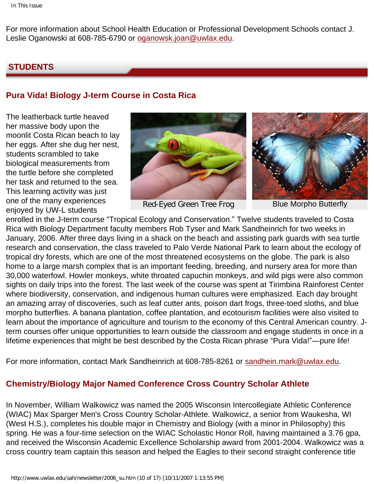For more information about School Health Education or Professional Development Schools contact J. Leslie Oganowski at 608-785-6790 or [oganowsk.joan@uwlax.edu](mailto:oganowsk.joan@uwlax.edu).

#### <span id="page-9-0"></span> **STUDENTS**

### **Pura Vida! Biology J-term Course in Costa Rica**

The leatherback turtle heaved her massive body upon the moonlit Costa Rican beach to lay her eggs. After she dug her nest, students scrambled to take biological measurements from the turtle before she completed her task and returned to the sea. This learning activity was just one of the many experiences enjoyed by UW-L students



Red-Eyed Green Tree Frog Blue Morpho Butterfly



enrolled in the J-term course "Tropical Ecology and Conservation." Twelve students traveled to Costa Rica with Biology Department faculty members Rob Tyser and Mark Sandheinrich for two weeks in January, 2006. After three days living in a shack on the beach and assisting park guards with sea turtle research and conservation, the class traveled to Palo Verde National Park to learn about the ecology of tropical dry forests, which are one of the most threatened ecosystems on the globe. The park is also home to a large marsh complex that is an important feeding, breeding, and nursery area for more than 30,000 waterfowl. Howler monkeys, white throated capuchin monkeys, and wild pigs were also common sights on daily trips into the forest. The last week of the course was spent at Tirimbina Rainforest Center where biodiversity, conservation, and indigenous human cultures were emphasized. Each day brought an amazing array of discoveries, such as leaf cutter ants, poison dart frogs, three-toed sloths, and blue morpho butterflies. A banana plantation, coffee plantation, and ecotourism facilities were also visited to learn about the importance of agriculture and tourism to the economy of this Central American country. Jterm courses offer unique opportunities to learn outside the classroom and engage students in once in a lifetime experiences that might be best described by the Costa Rican phrase "Pura Vida!"—pure life!

For more information, contact Mark Sandheinrich at 608-785-8261 or [sandhein.mark@uwlax.edu.](mailto:sandhein.mark@uwlax.edu)

### **Chemistry/Biology Major Named Conference Cross Country Scholar Athlete**

In November, William Walkowicz was named the 2005 Wisconsin Intercollegiate Athletic Conference (WIAC) Max Sparger Men's Cross Country Scholar-Athlete. Walkowicz, a senior from Waukesha, WI (West H.S.), completes his double major in Chemistry and Biology (with a minor in Philosophy) this spring. He was a four-time selection on the WIAC Scholastic Honor Roll, having maintained a 3.76 gpa, and received the Wisconsin Academic Excellence Scholarship award from 2001-2004. Walkowicz was a cross country team captain this season and helped the Eagles to their second straight conference title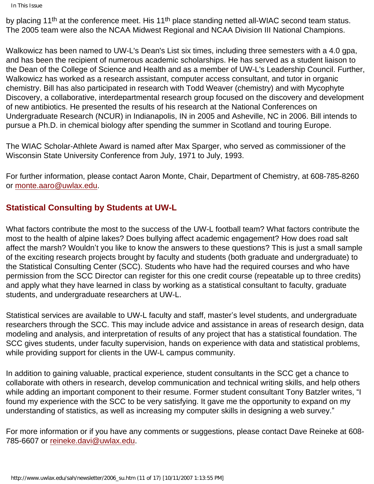In This Issue

by placing 11<sup>th</sup> at the conference meet. His 11<sup>th</sup> place standing netted all-WIAC second team status. The 2005 team were also the NCAA Midwest Regional and NCAA Division III National Champions.

Walkowicz has been named to UW-L's Dean's List six times, including three semesters with a 4.0 gpa, and has been the recipient of numerous academic scholarships. He has served as a student liaison to the Dean of the College of Science and Health and as a member of UW-L's Leadership Council. Further, Walkowicz has worked as a research assistant, computer access consultant, and tutor in organic chemistry. Bill has also participated in research with Todd Weaver (chemistry) and with Mycophyte Discovery, a collaborative, interdepartmental research group focused on the discovery and development of new antibiotics. He presented the results of his research at the National Conferences on Undergraduate Research (NCUR) in Indianapolis, IN in 2005 and Asheville, NC in 2006. Bill intends to pursue a Ph.D. in chemical biology after spending the summer in Scotland and touring Europe.

The WIAC Scholar-Athlete Award is named after Max Sparger, who served as commissioner of the Wisconsin State University Conference from July, 1971 to July, 1993.

For further information, please contact Aaron Monte, Chair, Department of Chemistry, at 608-785-8260 or [monte.aaro@uwlax.edu](mailto:monte.aaro@uwlax.edu).

### **Statistical Consulting by Students at UW-L**

What factors contribute the most to the success of the UW-L football team? What factors contribute the most to the health of alpine lakes? Does bullying affect academic engagement? How does road salt affect the marsh? Wouldn't you like to know the answers to these questions? This is just a small sample of the exciting research projects brought by faculty and students (both graduate and undergraduate) to the Statistical Consulting Center (SCC). Students who have had the required courses and who have permission from the SCC Director can register for this one credit course (repeatable up to three credits) and apply what they have learned in class by working as a statistical consultant to faculty, graduate students, and undergraduate researchers at UW-L.

Statistical services are available to UW-L faculty and staff, master's level students, and undergraduate researchers through the SCC. This may include advice and assistance in areas of research design, data modeling and analysis, and interpretation of results of any project that has a statistical foundation. The SCC gives students, under faculty supervision, hands on experience with data and statistical problems, while providing support for clients in the UW-L campus community.

In addition to gaining valuable, practical experience, student consultants in the SCC get a chance to collaborate with others in research, develop communication and technical writing skills, and help others while adding an important component to their resume. Former student consultant Tony Batzler writes, "I found my experience with the SCC to be very satisfying. It gave me the opportunity to expand on my understanding of statistics, as well as increasing my computer skills in designing a web survey."

For more information or if you have any comments or suggestions, please contact Dave Reineke at 608- 785-6607 or [reineke.davi@uwlax.edu.](mailto:reineke.davi@uwlax.edu)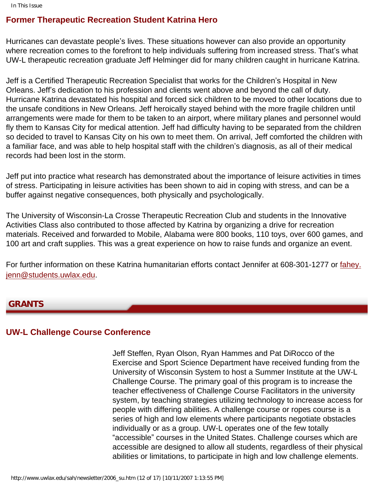### **Former Therapeutic Recreation Student Katrina Hero**

Hurricanes can devastate people's lives. These situations however can also provide an opportunity where recreation comes to the forefront to help individuals suffering from increased stress. That's what UW-L therapeutic recreation graduate Jeff Helminger did for many children caught in hurricane Katrina.

Jeff is a Certified Therapeutic Recreation Specialist that works for the Children's Hospital in New Orleans. Jeff's dedication to his profession and clients went above and beyond the call of duty. Hurricane Katrina devastated his hospital and forced sick children to be moved to other locations due to the unsafe conditions in New Orleans. Jeff heroically stayed behind with the more fragile children until arrangements were made for them to be taken to an airport, where military planes and personnel would fly them to Kansas City for medical attention. Jeff had difficulty having to be separated from the children so decided to travel to Kansas City on his own to meet them. On arrival, Jeff comforted the children with a familiar face, and was able to help hospital staff with the children's diagnosis, as all of their medical records had been lost in the storm.

Jeff put into practice what research has demonstrated about the importance of leisure activities in times of stress. Participating in leisure activities has been shown to aid in coping with stress, and can be a buffer against negative consequences, both physically and psychologically.

The University of Wisconsin-La Crosse Therapeutic Recreation Club and students in the Innovative Activities Class also contributed to those affected by Katrina by organizing a drive for recreation materials. Received and forwarded to Mobile, Alabama were 800 books, 110 toys, over 600 games, and 100 art and craft supplies. This was a great experience on how to raise funds and organize an event.

For further information on these Katrina humanitarian efforts contact Jennifer at 608-301-1277 or [fahey.](mailto:fahey.jenn@students.uwlax.edu) [jenn@students.uwlax.edu.](mailto:fahey.jenn@students.uwlax.edu)

#### <span id="page-11-0"></span>**GRANTS**

### **UW-L Challenge Course Conference**

Jeff Steffen, Ryan Olson, Ryan Hammes and Pat DiRocco of the Exercise and Sport Science Department have received funding from the University of Wisconsin System to host a Summer Institute at the UW-L Challenge Course. The primary goal of this program is to increase the teacher effectiveness of Challenge Course Facilitators in the university system, by teaching strategies utilizing technology to increase access for people with differing abilities. A challenge course or ropes course is a series of high and low elements where participants negotiate obstacles individually or as a group. UW-L operates one of the few totally "accessible" courses in the United States. Challenge courses which are accessible are designed to allow all students, regardless of their physical abilities or limitations, to participate in high and low challenge elements.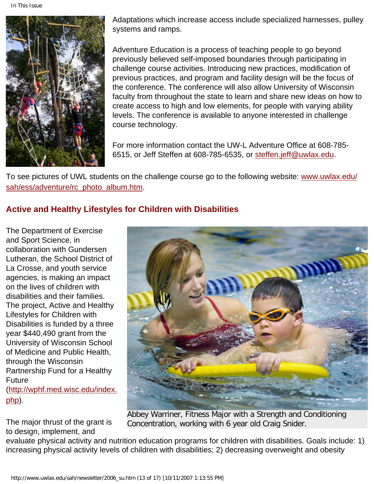In This Issue



Adaptations which increase access include specialized harnesses, pulley systems and ramps.

Adventure Education is a process of teaching people to go beyond previously believed self-imposed boundaries through participating in challenge course activities. Introducing new practices, modification of previous practices, and program and facility design will be the focus of the conference. The conference will also allow University of Wisconsin faculty from throughout the state to learn and share new ideas on how to create access to high and low elements, for people with varying ability levels. The conference is available to anyone interested in challenge course technology.

For more information contact the UW-L Adventure Office at 608-785- 6515, or Jeff Steffen at 608-785-6535, or [steffen.jeff@uwlax.edu.](mailto:steffen.jeff@uwlax.edu)

To see pictures of UWL students on the challenge course go to the following website: [www.uwlax.edu/](http://www.uwlax.edu/sah/ess/adventure/rc_photo_album.htm) [sah/ess/adventure/rc\\_photo\\_album.htm](http://www.uwlax.edu/sah/ess/adventure/rc_photo_album.htm).

# **Active and Healthy Lifestyles for Children with Disabilities**

The Department of Exercise and Sport Science, in collaboration with Gundersen Lutheran, the School District of La Crosse, and youth service agencies, is making an impact on the lives of children with disabilities and their families. The project, Active and Healthy Lifestyles for Children with Disabilities is funded by a three year \$440,490 grant from the University of Wisconsin School of Medicine and Public Health, through the Wisconsin Partnership Fund for a Healthy Future [\(http://wphf.med.wisc.edu/index.](http://wphf.med.wisc.edu/index.php) [php](http://wphf.med.wisc.edu/index.php)).

The major thrust of the grant is to design, implement, and



Abbey Warriner, Fitness Major with a Strength and Conditioning Concentration, working with 6 year old Craig Snider.

evaluate physical activity and nutrition education programs for children with disabilities. Goals include: 1) increasing physical activity levels of children with disabilities; 2) decreasing overweight and obesity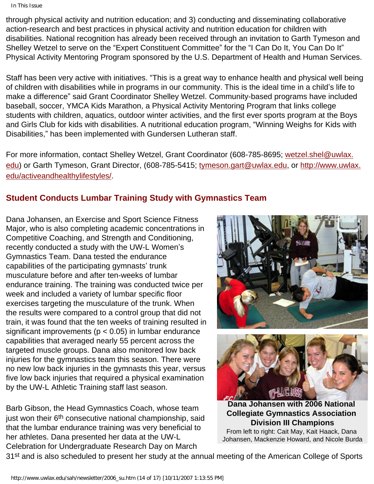In This Issue

through physical activity and nutrition education; and 3) conducting and disseminating collaborative action-research and best practices in physical activity and nutrition education for children with disabilities. National recognition has already been received through an invitation to Garth Tymeson and Shelley Wetzel to serve on the "Expert Constituent Committee" for the "I Can Do It, You Can Do It" Physical Activity Mentoring Program sponsored by the U.S. Department of Health and Human Services.

Staff has been very active with initiatives. "This is a great way to enhance health and physical well being of children with disabilities while in programs in our community. This is the ideal time in a child's life to make a difference" said Grant Coordinator Shelley Wetzel. Community-based programs have included baseball, soccer, YMCA Kids Marathon, a Physical Activity Mentoring Program that links college students with children, aquatics, outdoor winter activities, and the first ever sports program at the Boys and Girls Club for kids with disabilities. A nutritional education program, "Winning Weighs for Kids with Disabilities," has been implemented with Gundersen Lutheran staff.

For more information, contact Shelley Wetzel, Grant Coordinator (608-785-8695; [wetzel.shel@uwlax.](mailto:wetzel.shel@uwlax.edu) [edu](mailto:wetzel.shel@uwlax.edu)) or Garth Tymeson, Grant Director, (608-785-5415; [tymeson.gart@uwlax.edu,](mailto:tymeson.gart@uwlax.edu) or [http://www.uwlax.](http://www.uwlax.edu/activeandhealthylifestyles/) [edu/activeandhealthylifestyles/.](http://www.uwlax.edu/activeandhealthylifestyles/)

# **Student Conducts Lumbar Training Study with Gymnastics Team**

Dana Johansen, an Exercise and Sport Science Fitness Major, who is also completing academic concentrations in Competitive Coaching, and Strength and Conditioning, recently conducted a study with the UW-L Women's Gymnastics Team. Dana tested the endurance capabilities of the participating gymnasts' trunk musculature before and after ten-weeks of lumbar endurance training. The training was conducted twice per week and included a variety of lumbar specific floor exercises targeting the musculature of the trunk. When the results were compared to a control group that did not train, it was found that the ten weeks of training resulted in significant improvements ( $p < 0.05$ ) in lumbar endurance capabilities that averaged nearly 55 percent across the targeted muscle groups. Dana also monitored low back injuries for the gymnastics team this season. There were no new low back injuries in the gymnasts this year, versus five low back injuries that required a physical examination by the UW-L Athletic Training staff last season.

Barb Gibson, the Head Gymnastics Coach, whose team just won their 6<sup>th</sup> consecutive national championship, said that the lumbar endurance training was very beneficial to her athletes. Dana presented her data at the UW-L Celebration for Undergraduate Research Day on March





**Dana Johansen with 2006 National Collegiate Gymnastics Association Division III Champions** From left to right: Cait May, Kait Haack, Dana

Johansen, Mackenzie Howard, and Nicole Burda

31<sup>st</sup> and is also scheduled to present her study at the annual meeting of the American College of Sports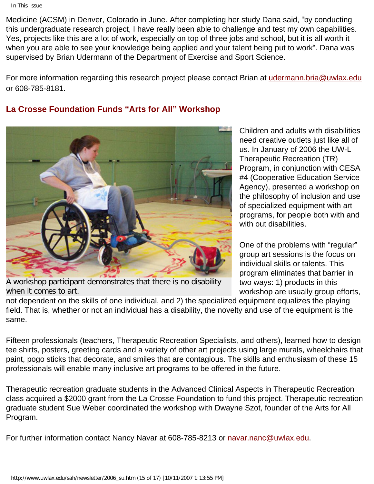Medicine (ACSM) in Denver, Colorado in June. After completing her study Dana said, "by conducting this undergraduate research project, I have really been able to challenge and test my own capabilities. Yes, projects like this are a lot of work, especially on top of three jobs and school, but it is all worth it when you are able to see your knowledge being applied and your talent being put to work". Dana was supervised by Brian Udermann of the Department of Exercise and Sport Science.

For more information regarding this research project please contact Brian at [udermann.bria@uwlax.edu](mailto:udermann.bria@uwlax.edu) or 608-785-8181.

# **La Crosse Foundation Funds "Arts for All" Workshop**



A workshop participant demonstrates that there is no disability when it comes to art.

Children and adults with disabilities need creative outlets just like all of us. In January of 2006 the UW-L Therapeutic Recreation (TR) Program, in conjunction with CESA #4 (Cooperative Education Service Agency), presented a workshop on the philosophy of inclusion and use of specialized equipment with art programs, for people both with and with out disabilities.

One of the problems with "regular" group art sessions is the focus on individual skills or talents. This program eliminates that barrier in two ways: 1) products in this workshop are usually group efforts,

not dependent on the skills of one individual, and 2) the specialized equipment equalizes the playing field. That is, whether or not an individual has a disability, the novelty and use of the equipment is the same.

Fifteen professionals (teachers, Therapeutic Recreation Specialists, and others), learned how to design tee shirts, posters, greeting cards and a variety of other art projects using large murals, wheelchairs that paint, pogo sticks that decorate, and smiles that are contagious. The skills and enthusiasm of these 15 professionals will enable many inclusive art programs to be offered in the future.

Therapeutic recreation graduate students in the Advanced Clinical Aspects in Therapeutic Recreation class acquired a \$2000 grant from the La Crosse Foundation to fund this project. Therapeutic recreation graduate student Sue Weber coordinated the workshop with Dwayne Szot, founder of the Arts for All Program.

For further information contact Nancy Navar at 608-785-8213 or [navar.nanc@uwlax.edu](mailto:navar.nanc@uwlax.edu).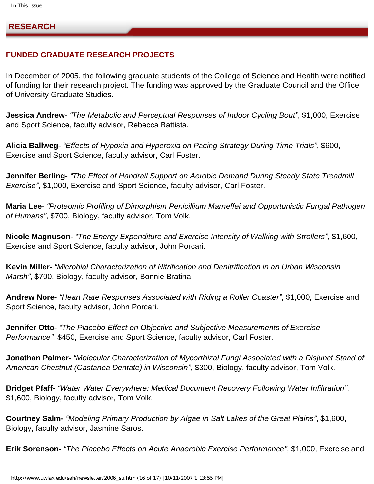<span id="page-15-0"></span> **RESEARCH**

#### **FUNDED GRADUATE RESEARCH PROJECTS**

In December of 2005, the following graduate students of the College of Science and Health were notified of funding for their research project. The funding was approved by the Graduate Council and the Office of University Graduate Studies.

**Jessica Andrew-** *"The Metabolic and Perceptual Responses of Indoor Cycling Bout"*, \$1,000, Exercise and Sport Science, faculty advisor, Rebecca Battista.

**Alicia Ballweg-** *"Effects of Hypoxia and Hyperoxia on Pacing Strategy During Time Trials"*, \$600, Exercise and Sport Science, faculty advisor, Carl Foster.

**Jennifer Berling-** *"The Effect of Handrail Support on Aerobic Demand During Steady State Treadmill Exercise"*, \$1,000, Exercise and Sport Science, faculty advisor, Carl Foster.

**Maria Lee-** *"Proteomic Profiling of Dimorphism Penicillium Marneffei and Opportunistic Fungal Pathogen of Humans"*, \$700, Biology, faculty advisor, Tom Volk.

**Nicole Magnuson-** *"The Energy Expenditure and Exercise Intensity of Walking with Strollers"*, \$1,600, Exercise and Sport Science, faculty advisor, John Porcari.

**Kevin Miller-** *"Microbial Characterization of Nitrification and Denitrification in an Urban Wisconsin Marsh"*, \$700, Biology, faculty advisor, Bonnie Bratina.

**Andrew Nore-** *"Heart Rate Responses Associated with Riding a Roller Coaster"*, \$1,000, Exercise and Sport Science, faculty advisor, John Porcari.

**Jennifer Otto-** *"The Placebo Effect on Objective and Subjective Measurements of Exercise Performance"*, \$450, Exercise and Sport Science, faculty advisor, Carl Foster.

**Jonathan Palmer-** *"Molecular Characterization of Mycorrhizal Fungi Associated with a Disjunct Stand of American Chestnut (Castanea Dentate) in Wisconsin"*, \$300, Biology, faculty advisor, Tom Volk.

**Bridget Pfaff-** *"Water Water Everywhere: Medical Document Recovery Following Water Infiltration"*, \$1,600, Biology, faculty advisor, Tom Volk.

**Courtney Salm-** *"Modeling Primary Production by Algae in Salt Lakes of the Great Plains"*, \$1,600, Biology, faculty advisor, Jasmine Saros.

**Erik Sorenson-** *"The Placebo Effects on Acute Anaerobic Exercise Performance"*, \$1,000, Exercise and